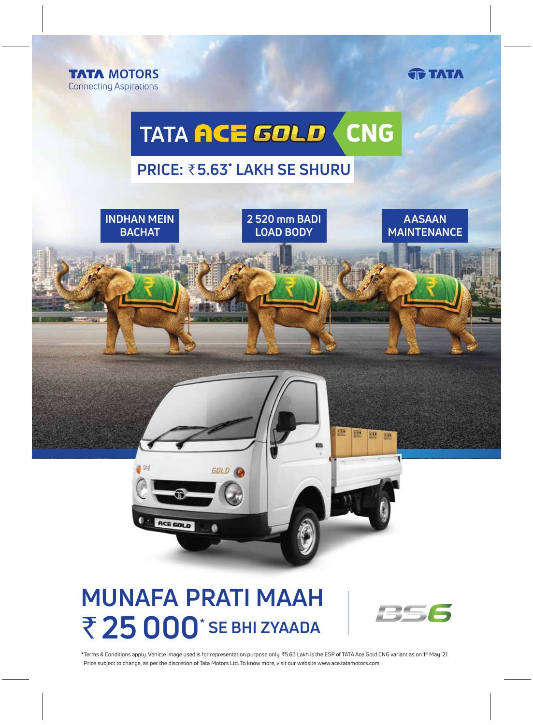

**TATA** 

# TATA ACE GOLD CNG

### **PRICE:** `**5.63\* LAKH SE SHURU**



20

ACE GOLD

**2 520 mm BADI LOAD BODY**

鹽

鹽

圖座

**AASAAN MAINTENANCE**

## **MUNAFA PRATI MAAH** ₹ 25 000<sup>\*</sup> SE BHI ZYAADA

 $GOLD$ 



\*Terms & Conditions apply. Vehicle image used is for representation purpose only. ₹5.63 Lakh is the ESP of TATA Ace Gold CNG variant as on 1<sup>st</sup> May '21. Price subject to change, as per the discretion of Tata Motors Ltd. To know more, visit our website www.ace.tatamotors.com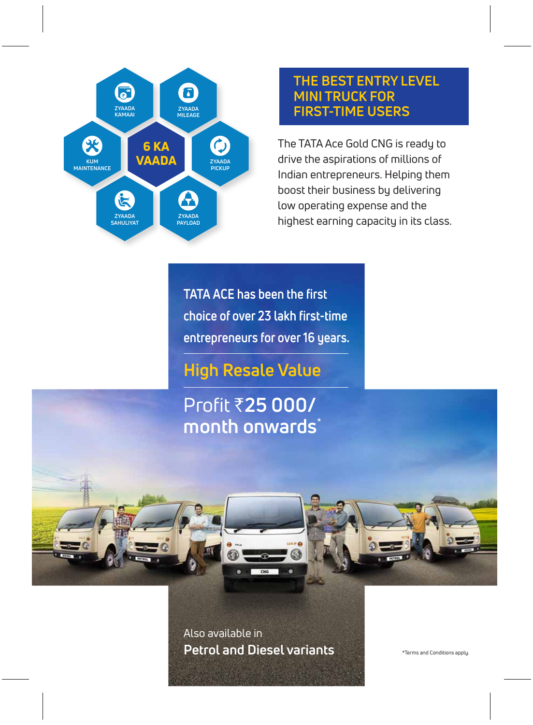

### **THE BEST ENTRY LEVEL MINI TRUCK FOR FIRST-TIME USERS**

The TATA Ace Gold CNG is ready to drive the aspirations of millions of Indian entrepreneurs. Helping them boost their business by delivering low operating expense and the highest earning capacity in its class.

**TATA ACE has been the first choice of over 23 lakh first-time entrepreneurs for over 16 years.**

**High Resale Value**

Profit `**25 000/ month onwards**\*

Also available in **Petrol and Diesel variants**

\*Terms and Conditions apply.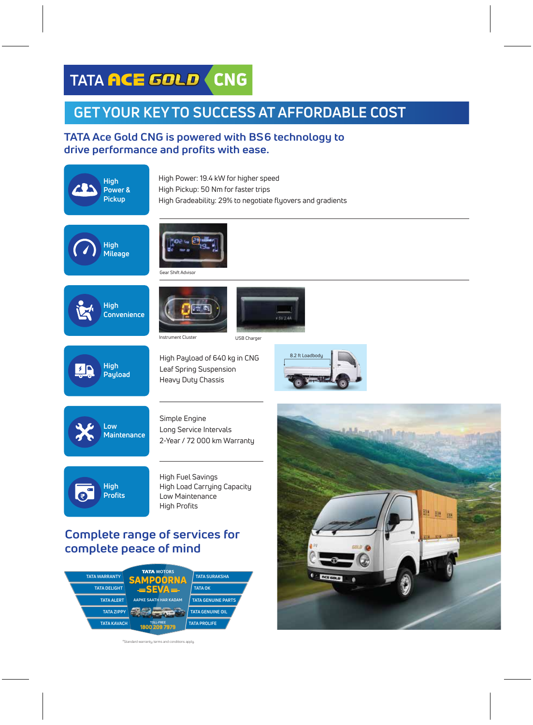## **TATA ACE GOLD (CNG**

**1800 209 7979 TOLL-FREE**

#Standard warranty, terms and conditions apply.

### **GET YOUR KEY TO SUCCESS AT AFFORDABLE COST**

#### **TATA Ace Gold CNG is powered with BS6 technology to drive performance and profits with ease.**